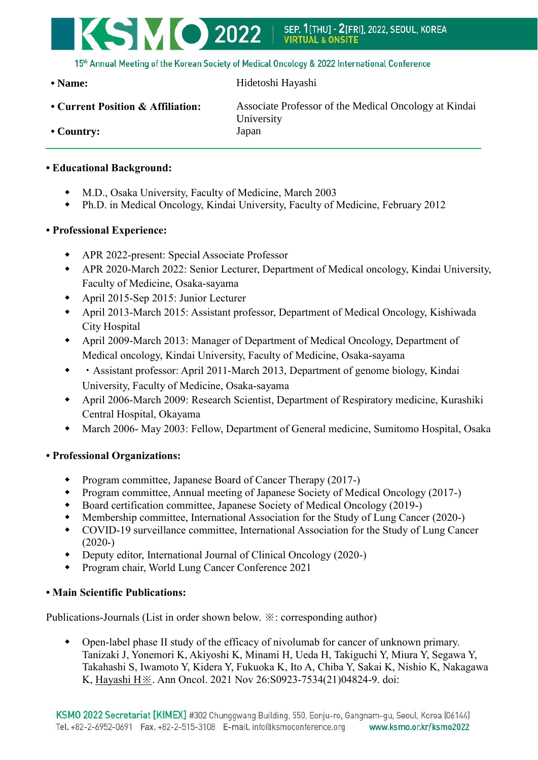

15th Annual Meeting of the Korean Society of Medical Oncology & 2022 International Conference

• Name: Hidetoshi Hayashi

**• Current Position & Affiliation:** Associate Professor of the Medical Oncology at Kindai University **• Country:** Japan

## **• Educational Background:**

- M.D., Osaka University, Faculty of Medicine, March 2003
- Ph.D. in Medical Oncology, Kindai University, Faculty of Medicine, February 2012

#### **• Professional Experience:**

- APR 2022-present: Special Associate Professor
- APR 2020-March 2022: Senior Lecturer, Department of Medical oncology, Kindai University, Faculty of Medicine, Osaka-sayama
- April 2015-Sep 2015: Junior Lecturer
- April 2013-March 2015: Assistant professor, Department of Medical Oncology, Kishiwada City Hospital
- April 2009-March 2013: Manager of Department of Medical Oncology, Department of Medical oncology, Kindai University, Faculty of Medicine, Osaka-sayama
- ・Assistant professor: April 2011-March 2013, Department of genome biology, Kindai University, Faculty of Medicine, Osaka-sayama
- April 2006-March 2009: Research Scientist, Department of Respiratory medicine, Kurashiki Central Hospital, Okayama
- March 2006- May 2003: Fellow, Department of General medicine, Sumitomo Hospital, Osaka

## **• Professional Organizations:**

- Program committee, Japanese Board of Cancer Therapy (2017-)
- Program committee, Annual meeting of Japanese Society of Medical Oncology (2017-)
- Board certification committee, Japanese Society of Medical Oncology (2019-)
- Membership committee, International Association for the Study of Lung Cancer (2020-)
- COVID-19 surveillance committee, International Association for the Study of Lung Cancer  $(2020-)$
- Deputy editor, International Journal of Clinical Oncology (2020-)
- Program chair, World Lung Cancer Conference 2021

#### **• Main Scientific Publications:**

Publications-Journals (List in order shown below. ※: corresponding author)

 Open-label phase II study of the efficacy of nivolumab for cancer of unknown primary. Tanizaki J, Yonemori K, Akiyoshi K, Minami H, Ueda H, Takiguchi Y, Miura Y, Segawa Y, Takahashi S, Iwamoto Y, Kidera Y, Fukuoka K, Ito A, Chiba Y, Sakai K, Nishio K, Nakagawa K, Hayashi H※. Ann Oncol. 2021 Nov 26:S0923-7534(21)04824-9. doi: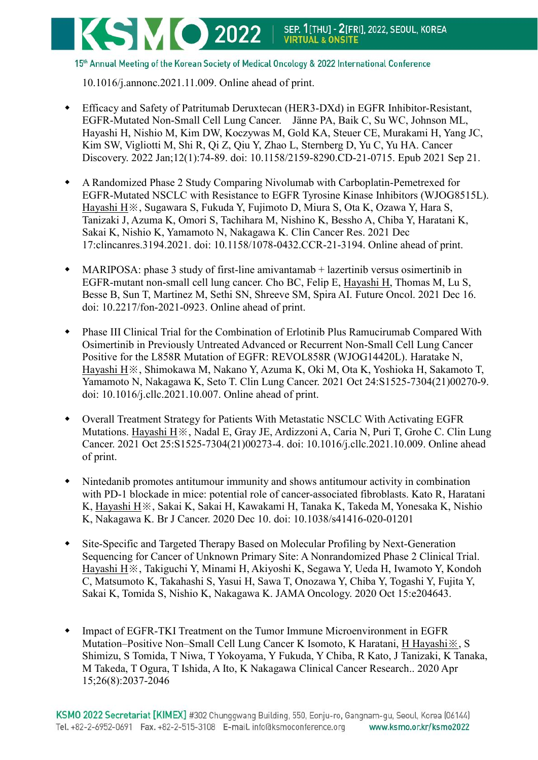# **SMO 2022** | SEP. 1[THU] - 2[FRI], 2022, SEOUL, KOREA

15th Annual Meeting of the Korean Society of Medical Oncology & 2022 International Conference

10.1016/j.annonc.2021.11.009. Online ahead of print.

- Efficacy and Safety of Patritumab Deruxtecan (HER3-DXd) in EGFR Inhibitor-Resistant, EGFR-Mutated Non-Small Cell Lung Cancer. Jänne PA, Baik C, Su WC, Johnson ML, Hayashi H, Nishio M, Kim DW, Koczywas M, Gold KA, Steuer CE, Murakami H, Yang JC, Kim SW, Vigliotti M, Shi R, Qi Z, Qiu Y, Zhao L, Sternberg D, Yu C, Yu HA. Cancer Discovery. 2022 Jan;12(1):74-89. doi: 10.1158/2159-8290.CD-21-0715. Epub 2021 Sep 21.
- A Randomized Phase 2 Study Comparing Nivolumab with Carboplatin-Pemetrexed for EGFR-Mutated NSCLC with Resistance to EGFR Tyrosine Kinase Inhibitors (WJOG8515L). Hayashi H※, Sugawara S, Fukuda Y, Fujimoto D, Miura S, Ota K, Ozawa Y, Hara S, Tanizaki J, Azuma K, Omori S, Tachihara M, Nishino K, Bessho A, Chiba Y, Haratani K, Sakai K, Nishio K, Yamamoto N, Nakagawa K. Clin Cancer Res. 2021 Dec 17:clincanres.3194.2021. doi: 10.1158/1078-0432.CCR-21-3194. Online ahead of print.
- MARIPOSA: phase 3 study of first-line amivantamab + lazertinib versus osimertinib in EGFR-mutant non-small cell lung cancer. Cho BC, Felip E, Hayashi H, Thomas M, Lu S, Besse B, Sun T, Martinez M, Sethi SN, Shreeve SM, Spira AI. Future Oncol. 2021 Dec 16. doi: 10.2217/fon-2021-0923. Online ahead of print.
- Phase III Clinical Trial for the Combination of Erlotinib Plus Ramucirumab Compared With Osimertinib in Previously Untreated Advanced or Recurrent Non-Small Cell Lung Cancer Positive for the L858R Mutation of EGFR: REVOL858R (WJOG14420L). Haratake N, Hayashi H※, Shimokawa M, Nakano Y, Azuma K, Oki M, Ota K, Yoshioka H, Sakamoto T, Yamamoto N, Nakagawa K, Seto T. Clin Lung Cancer. 2021 Oct 24:S1525-7304(21)00270-9. doi: 10.1016/j.cllc.2021.10.007. Online ahead of print.
- Overall Treatment Strategy for Patients With Metastatic NSCLC With Activating EGFR Mutations. Hayashi H※, Nadal E, Gray JE, Ardizzoni A, Caria N, Puri T, Grohe C. Clin Lung Cancer. 2021 Oct 25:S1525-7304(21)00273-4. doi: 10.1016/j.cllc.2021.10.009. Online ahead of print.
- Nintedanib promotes antitumour immunity and shows antitumour activity in combination with PD-1 blockade in mice: potential role of cancer-associated fibroblasts. Kato R, Haratani K, Hayashi H※, Sakai K, Sakai H, Kawakami H, Tanaka K, Takeda M, Yonesaka K, Nishio K, Nakagawa K. Br J Cancer. 2020 Dec 10. doi: 10.1038/s41416-020-01201
- Site-Specific and Targeted Therapy Based on Molecular Profiling by Next-Generation Sequencing for Cancer of Unknown Primary Site: A Nonrandomized Phase 2 Clinical Trial. Hayashi H※, Takiguchi Y, Minami H, Akiyoshi K, Segawa Y, Ueda H, Iwamoto Y, Kondoh C, Matsumoto K, Takahashi S, Yasui H, Sawa T, Onozawa Y, Chiba Y, Togashi Y, Fujita Y, Sakai K, Tomida S, Nishio K, Nakagawa K. JAMA Oncology. 2020 Oct 15:e204643.
- Impact of EGFR-TKI Treatment on the Tumor Immune Microenvironment in EGFR Mutation–Positive Non–Small Cell Lung Cancer K Isomoto, K Haratani, H Hayashi※, S Shimizu, S Tomida, T Niwa, T Yokoyama, Y Fukuda, Y Chiba, R Kato, J Tanizaki, K Tanaka, M Takeda, T Ogura, T Ishida, A Ito, K Nakagawa Clinical Cancer Research.. 2020 Apr 15;26(8):2037-2046